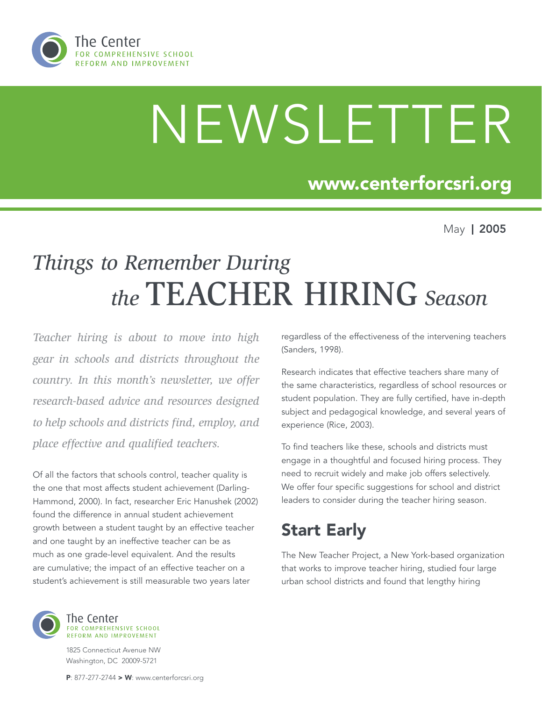

# NEWSLETTER

### www.centerforcsri.org

May | 2005

# *Things to Remember During the* TEACHER HIRING *Season*

*Teacher hiring is about to move into high gear in schools and districts throughout the country. In this month's newsletter, we offer research-based advice and resources designed to help schools and districts find, employ, and place effective and qualified teachers.*

Of all the factors that schools control, teacher quality is the one that most affects student achievement (Darling-Hammond, 2000). In fact, researcher Eric Hanushek (2002) found the difference in annual student achievement growth between a student taught by an effective teacher and one taught by an ineffective teacher can be as much as one grade-level equivalent. And the results are cumulative; the impact of an effective teacher on a student's achievement is still measurable two years later



Research indicates that effective teachers share many of the same characteristics, regardless of school resources or student population. They are fully certified, have in-depth subject and pedagogical knowledge, and several years of experience (Rice, 2003).

To find teachers like these, schools and districts must engage in a thoughtful and focused hiring process. They need to recruit widely and make job offers selectively. We offer four specific suggestions for school and district leaders to consider during the teacher hiring season.

## Start Early

The New Teacher Project, a New York-based organization that works to improve teacher hiring, studied four large urban school districts and found that lengthy hiring



The Center FOR COMPREHENSIVE SCHOOL REFORM AND IMPROVEMENT

1825 Connecticut Avenue NW Washington, DC 20009-5721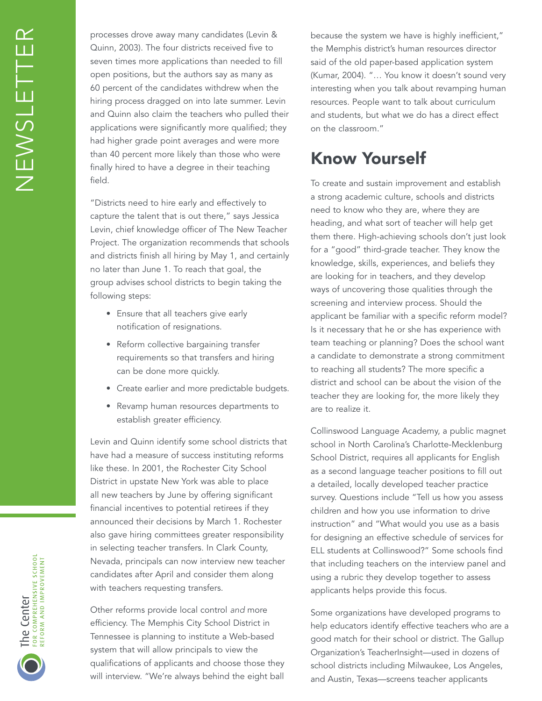processes drove away many candidates (Levin & Quinn, 2003). The four districts received five to seven times more applications than needed to fill open positions, but the authors say as many as 60 percent of the candidates withdrew when the hiring process dragged on into late summer. Levin and Quinn also claim the teachers who pulled their applications were significantly more qualified; they had higher grade point averages and were more than 40 percent more likely than those who were finally hired to have a degree in their teaching field.

"Districts need to hire early and effectively to capture the talent that is out there," says Jessica Levin, chief knowledge officer of The New Teacher Project. The organization recommends that schools and districts finish all hiring by May 1, and certainly no later than June 1. To reach that goal, the group advises school districts to begin taking the following steps:

- Ensure that all teachers give early notification of resignations.
- Reform collective bargaining transfer requirements so that transfers and hiring can be done more quickly.
- Create earlier and more predictable budgets.
- Revamp human resources departments to establish greater efficiency.

Levin and Quinn identify some school districts that have had a measure of success instituting reforms like these. In 2001, the Rochester City School District in upstate New York was able to place all new teachers by June by offering significant financial incentives to potential retirees if they announced their decisions by March 1. Rochester also gave hiring committees greater responsibility in selecting teacher transfers. In Clark County, Nevada, principals can now interview new teacher candidates after April and consider them along with teachers requesting transfers.

Other reforms provide local control and more efficiency. The Memphis City School District in Tennessee is planning to institute a Web-based system that will allow principals to view the qualifications of applicants and choose those they will interview. "We're always behind the eight ball because the system we have is highly inefficient," the Memphis district's human resources director said of the old paper-based application system (Kumar, 2004). "… You know it doesn't sound very interesting when you talk about revamping human resources. People want to talk about curriculum and students, but what we do has a direct effect on the classroom."

#### Know Yourself

To create and sustain improvement and establish a strong academic culture, schools and districts need to know who they are, where they are heading, and what sort of teacher will help get them there. High-achieving schools don't just look for a "good" third-grade teacher. They know the knowledge, skills, experiences, and beliefs they are looking for in teachers, and they develop ways of uncovering those qualities through the screening and interview process. Should the applicant be familiar with a specific reform model? Is it necessary that he or she has experience with team teaching or planning? Does the school want a candidate to demonstrate a strong commitment to reaching all students? The more specific a district and school can be about the vision of the teacher they are looking for, the more likely they are to realize it.

Collinswood Language Academy, a public magnet school in North Carolina's Charlotte-Mecklenburg School District, requires all applicants for English as a second language teacher positions to fill out a detailed, locally developed teacher practice survey. Questions include "Tell us how you assess children and how you use information to drive instruction" and "What would you use as a basis for designing an effective schedule of services for ELL students at Collinswood?" Some schools find that including teachers on the interview panel and using a rubric they develop together to assess applicants helps provide this focus.

Some organizations have developed programs to help educators identify effective teachers who are a good match for their school or district. The Gallup Organization's TeacherInsight—used in dozens of school districts including Milwaukee, Los Angeles, and Austin, Texas—screens teacher applicants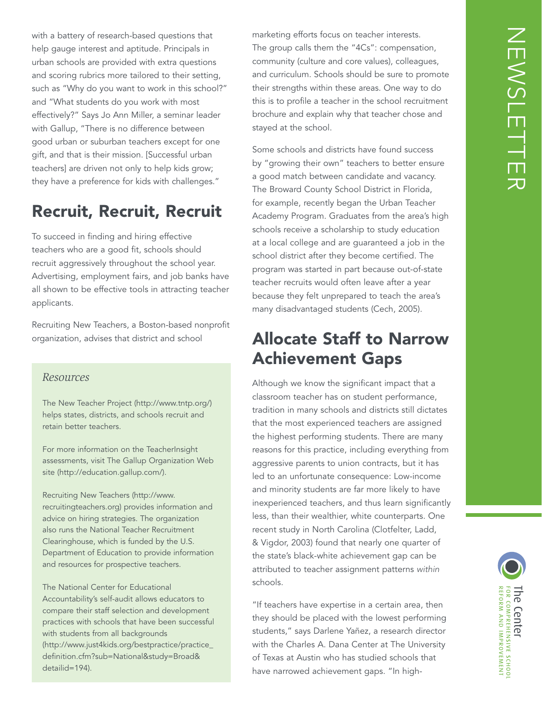with a battery of research-based questions that help gauge interest and aptitude. Principals in urban schools are provided with extra questions and scoring rubrics more tailored to their setting, such as "Why do you want to work in this school?" and "What students do you work with most effectively?" Says Jo Ann Miller, a seminar leader with Gallup, "There is no difference between good urban or suburban teachers except for one gift, and that is their mission. [Successful urban teachers] are driven not only to help kids grow; they have a preference for kids with challenges."

#### Recruit, Recruit, Recruit

To succeed in finding and hiring effective teachers who are a good fit, schools should recruit aggressively throughout the school year. Advertising, employment fairs, and job banks have all shown to be effective tools in attracting teacher applicants.

Recruiting New Teachers, a Boston-based nonprofit organization, advises that district and school

#### *Resources*

The New Teacher Project (http://www.tntp.org/) helps states, districts, and schools recruit and retain better teachers.

For more information on the TeacherInsight assessments, visit The Gallup Organization Web site (http://education.gallup.com/).

Recruiting New Teachers (http://www. recruitingteachers.org) provides information and advice on hiring strategies. The organization also runs the National Teacher Recruitment Clearinghouse, which is funded by the U.S. Department of Education to provide information and resources for prospective teachers.

The National Center for Educational Accountability's self-audit allows educators to compare their staff selection and development practices with schools that have been successful with students from all backgrounds (http://www.just4kids.org/bestpractice/practice\_ definition.cfm?sub=National&study=Broad& detailid=194).

marketing efforts focus on teacher interests. The group calls them the "4Cs": compensation, community (culture and core values), colleagues, and curriculum. Schools should be sure to promote their strengths within these areas. One way to do this is to profile a teacher in the school recruitment brochure and explain why that teacher chose and stayed at the school.

Some schools and districts have found success by "growing their own" teachers to better ensure a good match between candidate and vacancy. The Broward County School District in Florida, for example, recently began the Urban Teacher Academy Program. Graduates from the area's high schools receive a scholarship to study education at a local college and are guaranteed a job in the school district after they become certified. The program was started in part because out-of-state teacher recruits would often leave after a year because they felt unprepared to teach the area's many disadvantaged students (Cech, 2005).

#### Allocate Staff to Narrow Achievement Gaps

Although we know the significant impact that a classroom teacher has on student performance, tradition in many schools and districts still dictates that the most experienced teachers are assigned the highest performing students. There are many reasons for this practice, including everything from aggressive parents to union contracts, but it has led to an unfortunate consequence: Low-income and minority students are far more likely to have inexperienced teachers, and thus learn significantly less, than their wealthier, white counterparts. One recent study in North Carolina (Clotfelter, Ladd, & Vigdor, 2003) found that nearly one quarter of the state's black-white achievement gap can be attributed to teacher assignment patterns within schools.

"If teachers have expertise in a certain area, then they should be placed with the lowest performing students," says Darlene Yañez, a research director with the Charles A. Dana Center at The University of Texas at Austin who has studied schools that have narrowed achievement gaps. "In high-